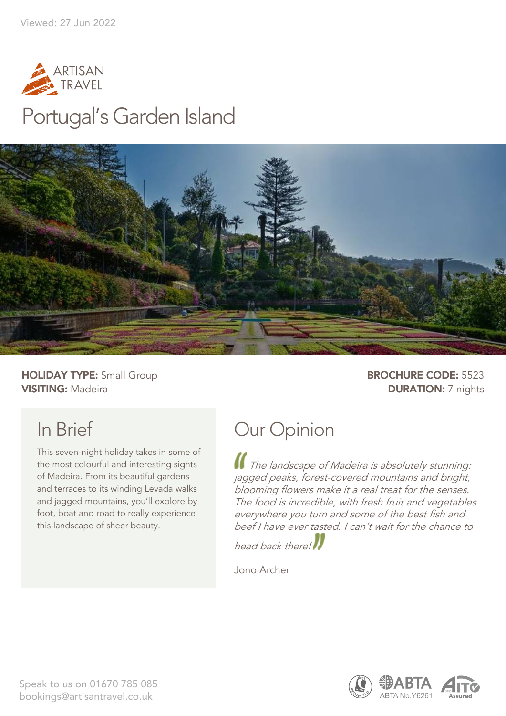

## Portugal's Garden Island



**HOLIDAY TYPE:** Small Group **BROCHURE CODE:** 5523 **VISITING:** Madeira **DURATION:** 7 nights

## In Brief

This seven-night holiday takes in some of the most colourful and interesting sights of Madeira. From its beautiful gardens and terraces to its winding Levada walks and jagged mountains, you'll explore by foot, boat and road to really experience this landscape of sheer beauty.

## Our Opinion

The landscape of Madeira is absolutely stunning: jagged peaks, forest-covered mountains and bright, blooming flowers make it a real treat for the senses. The food is incredible, with fresh fruit and vegetables everywhere you turn and some of the best fish and beef I have ever tasted. I can't wait for the chance to

head back there!

Jono Archer

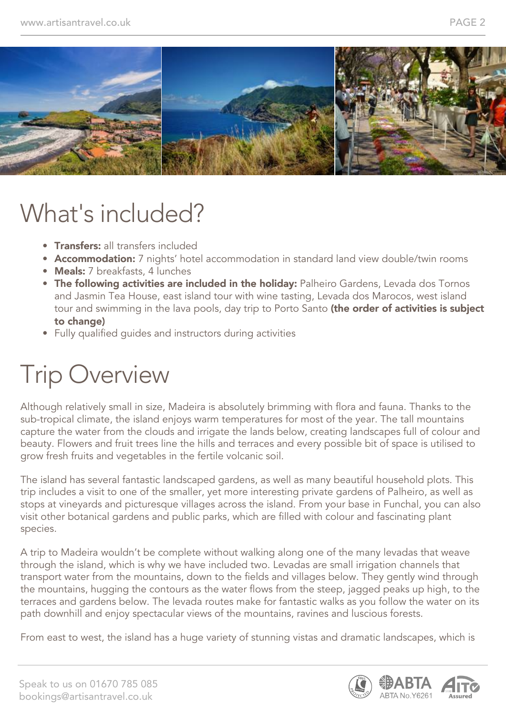

## What's included?

- **Transfers:** all transfers included
- Accommodation: 7 nights' hotel accommodation in standard land view double/twin rooms
- Meals: 7 breakfasts, 4 lunches
- The following activities are included in the holiday: Palheiro Gardens, Levada dos Tornos and Jasmin Tea House, east island tour with wine tasting, Levada dos Marocos, west island tour and swimming in the lava pools, day trip to Porto Santo (the order of activities is subject to change)
- Fully qualified guides and instructors during activities

# Trip Overview

Although relatively small in size, Madeira is absolutely brimming with flora and fauna. Thanks to the sub-tropical climate, the island enjoys warm temperatures for most of the year. The tall mountains capture the water from the clouds and irrigate the lands below, creating landscapes full of colour and beauty. Flowers and fruit trees line the hills and terraces and every possible bit of space is utilised to grow fresh fruits and vegetables in the fertile volcanic soil.

The island has several fantastic landscaped gardens, as well as many beautiful household plots. This trip includes a visit to one of the smaller, yet more interesting private gardens of Palheiro, as well as stops at vineyards and picturesque villages across the island. From your base in Funchal, you can also visit other botanical gardens and public parks, which are filled with colour and fascinating plant species.

A trip to Madeira wouldn't be complete without walking along one of the many levadas that weave through the island, which is why we have included two. Levadas are small irrigation channels that transport water from the mountains, down to the fields and villages below. They gently wind through the mountains, hugging the contours as the water flows from the steep, jagged peaks up high, to the terraces and gardens below. The levada routes make for fantastic walks as you follow the water on its path downhill and enjoy spectacular views of the mountains, ravines and luscious forests.

From east to west, the island has a huge variety of stunning vistas and dramatic landscapes, which is



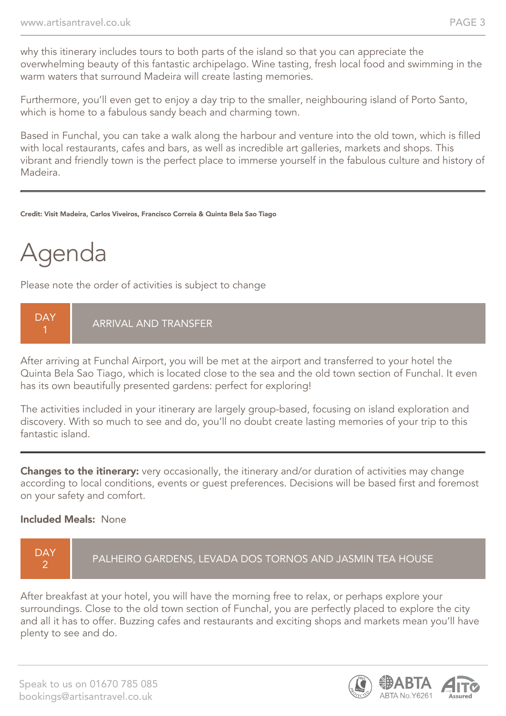why this itinerary includes tours to both parts of the island so that you can appreciate the overwhelming beauty of this fantastic archipelago. Wine tasting, fresh local food and swimming in the warm waters that surround Madeira will create lasting memories.

Furthermore, you'll even get to enjoy a day trip to the smaller, neighbouring island of Porto Santo, which is home to a fabulous sandy beach and charming town.

Based in Funchal, you can take a walk along the harbour and venture into the old town, which is filled with local restaurants, cafes and bars, as well as incredible art galleries, markets and shops. This vibrant and friendly town is the perfect place to immerse yourself in the fabulous culture and history of Madeira.

#### Credit: Visit Madeira, Carlos Viveiros, Francisco Correia & Quinta Bela Sao Tiago

## Agenda

Please note the order of activities is subject to change

**DAY** 1 ARRIVAL AND TRANSFER

After arriving at Funchal Airport, you will be met at the airport and transferred to your hotel the Quinta Bela Sao Tiago, which is located close to the sea and the old town section of Funchal. It even has its own beautifully presented gardens: perfect for exploring!

The activities included in your itinerary are largely group-based, focusing on island exploration and discovery. With so much to see and do, you'll no doubt create lasting memories of your trip to this fantastic island.

Changes to the itinerary: very occasionally, the itinerary and/or duration of activities may change according to local conditions, events or guest preferences. Decisions will be based first and foremost on your safety and comfort.

#### Included Meals: None



After breakfast at your hotel, you will have the morning free to relax, or perhaps explore your surroundings. Close to the old town section of Funchal, you are perfectly placed to explore the city and all it has to offer. Buzzing cafes and restaurants and exciting shops and markets mean you'll have plenty to see and do.

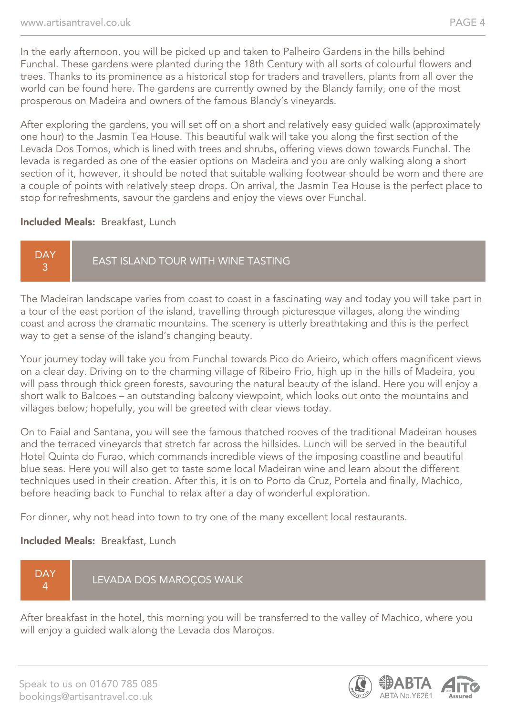In the early afternoon, you will be picked up and taken to Palheiro Gardens in the hills behind Funchal. These gardens were planted during the 18th Century with all sorts of colourful flowers and trees. Thanks to its prominence as a historical stop for traders and travellers, plants from all over the world can be found here. The gardens are currently owned by the Blandy family, one of the most prosperous on Madeira and owners of the famous Blandy's vineyards.

After exploring the gardens, you will set off on a short and relatively easy guided walk (approximately one hour) to the Jasmin Tea House. This beautiful walk will take you along the first section of the Levada Dos Tornos, which is lined with trees and shrubs, offering views down towards Funchal. The levada is regarded as one of the easier options on Madeira and you are only walking along a short section of it, however, it should be noted that suitable walking footwear should be worn and there are a couple of points with relatively steep drops. On arrival, the Jasmin Tea House is the perfect place to stop for refreshments, savour the gardens and enjoy the views over Funchal.

#### Included Meals: Breakfast, Lunch

DAY 3 EAST ISLAND TOUR WITH WINE TASTING

The Madeiran landscape varies from coast to coast in a fascinating way and today you will take part in a tour of the east portion of the island, travelling through picturesque villages, along the winding coast and across the dramatic mountains. The scenery is utterly breathtaking and this is the perfect way to get a sense of the island's changing beauty.

Your journey today will take you from Funchal towards Pico do Arieiro, which offers magnificent views on a clear day. Driving on to the charming village of Ribeiro Frio, high up in the hills of Madeira, you will pass through thick green forests, savouring the natural beauty of the island. Here you will enjoy a short walk to Balcoes – an outstanding balcony viewpoint, which looks out onto the mountains and villages below; hopefully, you will be greeted with clear views today.

On to Faial and Santana, you will see the famous thatched rooves of the traditional Madeiran houses and the terraced vineyards that stretch far across the hillsides. Lunch will be served in the beautiful Hotel Quinta do Furao, which commands incredible views of the imposing coastline and beautiful blue seas. Here you will also get to taste some local Madeiran wine and learn about the different techniques used in their creation. After this, it is on to Porto da Cruz, Portela and finally, Machico, before heading back to Funchal to relax after a day of wonderful exploration.

For dinner, why not head into town to try one of the many excellent local restaurants.

#### Included Meals: Breakfast, Lunch

**DAY** 4 LEVADA DOS MAROÇOS WALK

After breakfast in the hotel, this morning you will be transferred to the valley of Machico, where you will enjoy a guided walk along the Levada dos Maroços.

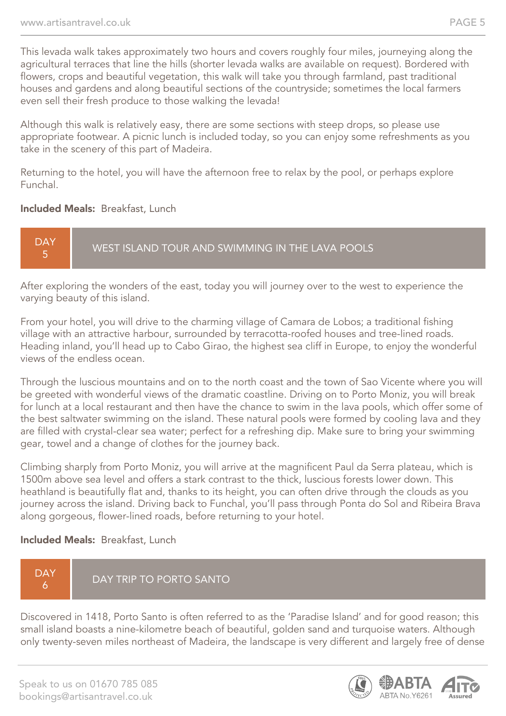This levada walk takes approximately two hours and covers roughly four miles, journeying along the agricultural terraces that line the hills (shorter levada walks are available on request). Bordered with flowers, crops and beautiful vegetation, this walk will take you through farmland, past traditional houses and gardens and along beautiful sections of the countryside; sometimes the local farmers even sell their fresh produce to those walking the levada!

Although this walk is relatively easy, there are some sections with steep drops, so please use appropriate footwear. A picnic lunch is included today, so you can enjoy some refreshments as you take in the scenery of this part of Madeira.

Returning to the hotel, you will have the afternoon free to relax by the pool, or perhaps explore Funchal.

#### Included Meals: Breakfast, Lunch

DAY 5 WEST ISLAND TOUR AND SWIMMING IN THE LAVA POOLS

After exploring the wonders of the east, today you will journey over to the west to experience the varying beauty of this island.

From your hotel, you will drive to the charming village of Camara de Lobos; a traditional fishing village with an attractive harbour, surrounded by terracotta-roofed houses and tree-lined roads. Heading inland, you'll head up to Cabo Girao, the highest sea cliff in Europe, to enjoy the wonderful views of the endless ocean.

Through the luscious mountains and on to the north coast and the town of Sao Vicente where you will be greeted with wonderful views of the dramatic coastline. Driving on to Porto Moniz, you will break for lunch at a local restaurant and then have the chance to swim in the lava pools, which offer some of the best saltwater swimming on the island. These natural pools were formed by cooling lava and they are filled with crystal-clear sea water; perfect for a refreshing dip. Make sure to bring your swimming gear, towel and a change of clothes for the journey back.

Climbing sharply from Porto Moniz, you will arrive at the magnificent Paul da Serra plateau, which is 1500m above sea level and offers a stark contrast to the thick, luscious forests lower down. This heathland is beautifully flat and, thanks to its height, you can often drive through the clouds as you journey across the island. Driving back to Funchal, you'll pass through Ponta do Sol and Ribeira Brava along gorgeous, flower-lined roads, before returning to your hotel.

#### Included Meals: Breakfast, Lunch

#### **DAY** 6 DAY TRIP TO PORTO SANTO

Discovered in 1418, Porto Santo is often referred to as the 'Paradise Island' and for good reason; this small island boasts a nine-kilometre beach of beautiful, golden sand and turquoise waters. Although only twenty-seven miles northeast of Madeira, the landscape is very different and largely free of dense

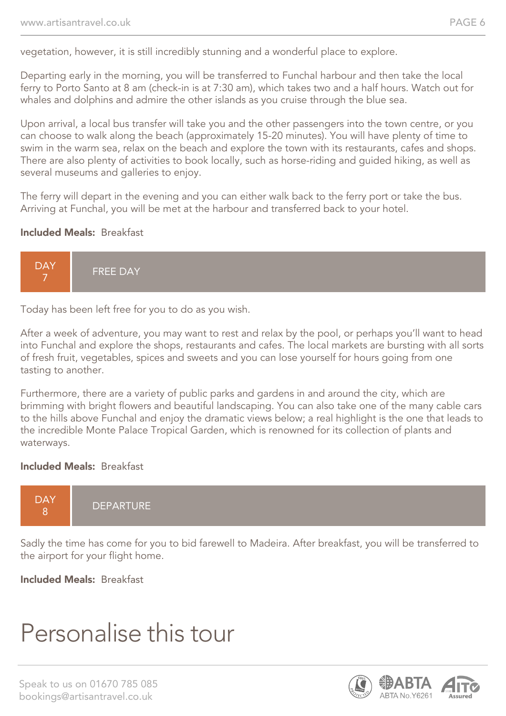vegetation, however, it is still incredibly stunning and a wonderful place to explore.

Departing early in the morning, you will be transferred to Funchal harbour and then take the local ferry to Porto Santo at 8 am (check-in is at 7:30 am), which takes two and a half hours. Watch out for whales and dolphins and admire the other islands as you cruise through the blue sea.

Upon arrival, a local bus transfer will take you and the other passengers into the town centre, or you can choose to walk along the beach (approximately 15-20 minutes). You will have plenty of time to swim in the warm sea, relax on the beach and explore the town with its restaurants, cafes and shops. There are also plenty of activities to book locally, such as horse-riding and guided hiking, as well as several museums and galleries to enjoy.

The ferry will depart in the evening and you can either walk back to the ferry port or take the bus. Arriving at Funchal, you will be met at the harbour and transferred back to your hotel.

#### Included Meals: Breakfast



Today has been left free for you to do as you wish.

After a week of adventure, you may want to rest and relax by the pool, or perhaps you'll want to head into Funchal and explore the shops, restaurants and cafes. The local markets are bursting with all sorts of fresh fruit, vegetables, spices and sweets and you can lose yourself for hours going from one tasting to another.

Furthermore, there are a variety of public parks and gardens in and around the city, which are brimming with bright flowers and beautiful landscaping. You can also take one of the many cable cars to the hills above Funchal and enjoy the dramatic views below; a real highlight is the one that leads to the incredible Monte Palace Tropical Garden, which is renowned for its collection of plants and waterways.

#### Included Meals: Breakfast



Sadly the time has come for you to bid farewell to Madeira. After breakfast, you will be transferred to the airport for your flight home.

Included Meals: Breakfast

## Personalise this tour

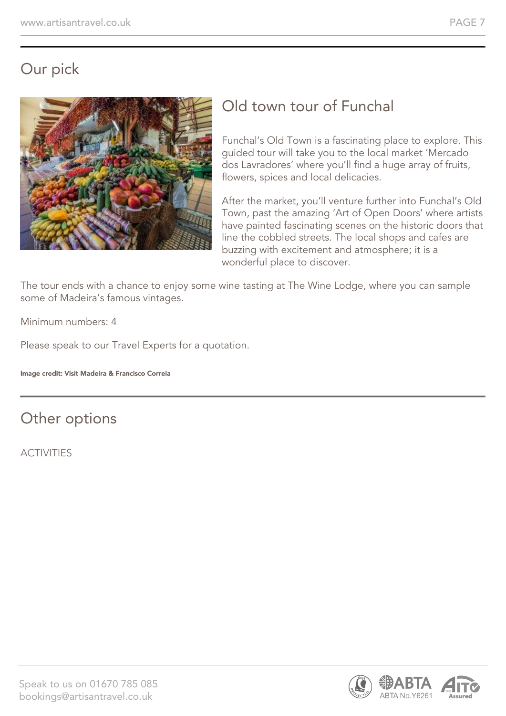### Our pick



### Old town tour of Funchal

Funchal's Old Town is a fascinating place to explore. This guided tour will take you to the local market 'Mercado dos Lavradores' where you'll find a huge array of fruits, flowers, spices and local delicacies.

After the market, you'll venture further into Funchal's Old Town, past the amazing 'Art of Open Doors' where artists have painted fascinating scenes on the historic doors that line the cobbled streets. The local shops and cafes are buzzing with excitement and atmosphere; it is a wonderful place to discover.

The tour ends with a chance to enjoy some wine tasting at The Wine Lodge, where you can sample some of Madeira's famous vintages.

Minimum numbers: 4

Please speak to our Travel Experts for a quotation.

Image credit: Visit Madeira & Francisco Correia

### Other options

**ACTIVITIES** 

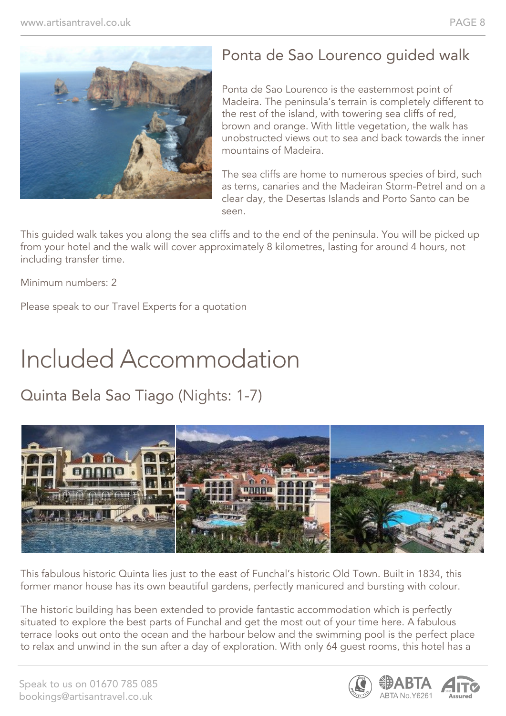

### Ponta de Sao Lourenco guided walk

Ponta de Sao Lourenco is the easternmost point of Madeira. The peninsula's terrain is completely different to the rest of the island, with towering sea cliffs of red, brown and orange. With little vegetation, the walk has unobstructed views out to sea and back towards the inner mountains of Madeira.

The sea cliffs are home to numerous species of bird, such as terns, canaries and the Madeiran Storm-Petrel and on a clear day, the Desertas Islands and Porto Santo can be seen.

This guided walk takes you along the sea cliffs and to the end of the peninsula. You will be picked up from your hotel and the walk will cover approximately 8 kilometres, lasting for around 4 hours, not including transfer time.

Minimum numbers: 2

Please speak to our Travel Experts for a quotation

# Included Accommodation

### Quinta Bela Sao Tiago (Nights: 1-7)



This fabulous historic Quinta lies just to the east of Funchal's historic Old Town. Built in 1834, this former manor house has its own beautiful gardens, perfectly manicured and bursting with colour.

The historic building has been extended to provide fantastic accommodation which is perfectly situated to explore the best parts of Funchal and get the most out of your time here. A fabulous terrace looks out onto the ocean and the harbour below and the swimming pool is the perfect place to relax and unwind in the sun after a day of exploration. With only 64 guest rooms, this hotel has a

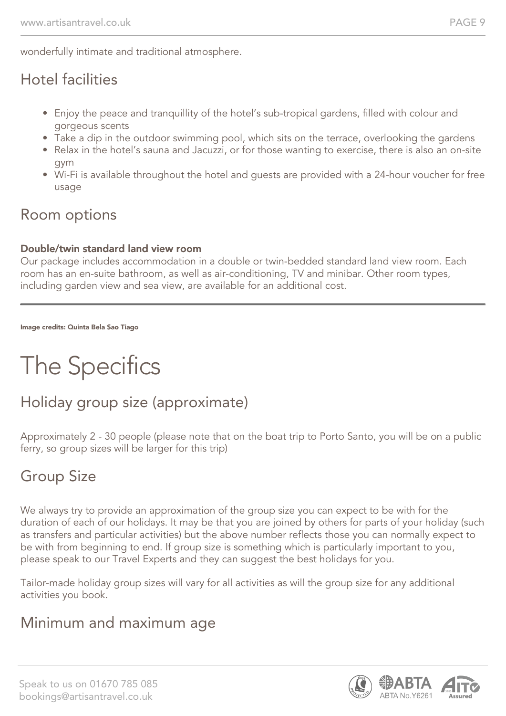wonderfully intimate and traditional atmosphere.

### Hotel facilities

- Enjoy the peace and tranquillity of the hotel's sub-tropical gardens, filled with colour and gorgeous scents
- Take a dip in the outdoor swimming pool, which sits on the terrace, overlooking the gardens
- Relax in the hotel's sauna and Jacuzzi, or for those wanting to exercise, there is also an on-site gym
- Wi-Fi is available throughout the hotel and guests are provided with a 24-hour voucher for free usage

#### Room options

#### Double/twin standard land view room

Our package includes accommodation in a double or twin-bedded standard land view room. Each room has an en-suite bathroom, as well as air-conditioning, TV and minibar. Other room types, including garden view and sea view, are available for an additional cost.

Image credits: Quinta Bela Sao Tiago

# The Specifics

### Holiday group size (approximate)

Approximately 2 - 30 people (please note that on the boat trip to Porto Santo, you will be on a public ferry, so group sizes will be larger for this trip)

### Group Size

We always try to provide an approximation of the group size you can expect to be with for the duration of each of our holidays. It may be that you are joined by others for parts of your holiday (such as transfers and particular activities) but the above number reflects those you can normally expect to be with from beginning to end. If group size is something which is particularly important to you, please speak to our Travel Experts and they can suggest the best holidays for you.

Tailor-made holiday group sizes will vary for all activities as will the group size for any additional activities you book.

### Minimum and maximum age